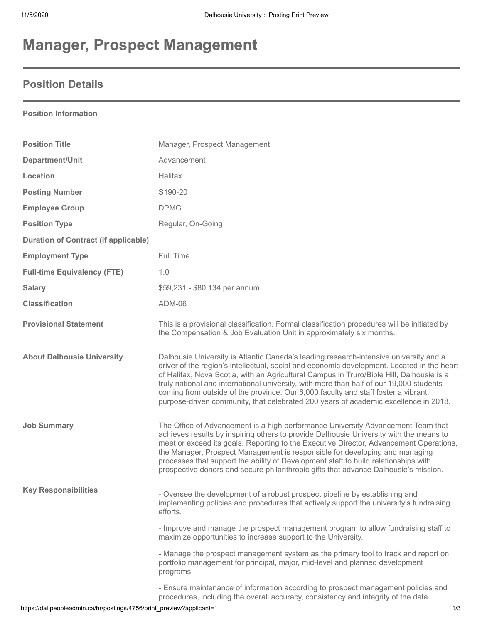# **Manager, Prospect Management**

### **Position Details**

#### **Position Information**

| <b>Position Title</b>                       | Manager, Prospect Management                                                                                                                                                                                                                                                                                                                                                                                                                                                                                                                            |
|---------------------------------------------|---------------------------------------------------------------------------------------------------------------------------------------------------------------------------------------------------------------------------------------------------------------------------------------------------------------------------------------------------------------------------------------------------------------------------------------------------------------------------------------------------------------------------------------------------------|
| Department/Unit                             | Advancement                                                                                                                                                                                                                                                                                                                                                                                                                                                                                                                                             |
| Location                                    | Halifax                                                                                                                                                                                                                                                                                                                                                                                                                                                                                                                                                 |
| <b>Posting Number</b>                       | S190-20                                                                                                                                                                                                                                                                                                                                                                                                                                                                                                                                                 |
| <b>Employee Group</b>                       | <b>DPMG</b>                                                                                                                                                                                                                                                                                                                                                                                                                                                                                                                                             |
| <b>Position Type</b>                        | Regular, On-Going                                                                                                                                                                                                                                                                                                                                                                                                                                                                                                                                       |
| <b>Duration of Contract (if applicable)</b> |                                                                                                                                                                                                                                                                                                                                                                                                                                                                                                                                                         |
| <b>Employment Type</b>                      | Full Time                                                                                                                                                                                                                                                                                                                                                                                                                                                                                                                                               |
| <b>Full-time Equivalency (FTE)</b>          | 1.0                                                                                                                                                                                                                                                                                                                                                                                                                                                                                                                                                     |
| <b>Salary</b>                               | \$59,231 - \$80,134 per annum                                                                                                                                                                                                                                                                                                                                                                                                                                                                                                                           |
| <b>Classification</b>                       | ADM-06                                                                                                                                                                                                                                                                                                                                                                                                                                                                                                                                                  |
| <b>Provisional Statement</b>                | This is a provisional classification. Formal classification procedures will be initiated by<br>the Compensation & Job Evaluation Unit in approximately six months.                                                                                                                                                                                                                                                                                                                                                                                      |
| <b>About Dalhousie University</b>           | Dalhousie University is Atlantic Canada's leading research-intensive university and a<br>driver of the region's intellectual, social and economic development. Located in the heart<br>of Halifax, Nova Scotia, with an Agricultural Campus in Truro/Bible Hill, Dalhousie is a<br>truly national and international university, with more than half of our 19,000 students<br>coming from outside of the province. Our 6,000 faculty and staff foster a vibrant,<br>purpose-driven community, that celebrated 200 years of academic excellence in 2018. |
| <b>Job Summary</b>                          | The Office of Advancement is a high performance University Advancement Team that<br>achieves results by inspiring others to provide Dalhousie University with the means to<br>meet or exceed its goals. Reporting to the Executive Director, Advancement Operations,<br>the Manager, Prospect Management is responsible for developing and managing<br>processes that support the ability of Development staff to build relationships with<br>prospective donors and secure philanthropic gifts that advance Dalhousie's mission.                       |
| <b>Key Responsibilities</b>                 | - Oversee the development of a robust prospect pipeline by establishing and<br>implementing policies and procedures that actively support the university's fundraising<br>efforts.                                                                                                                                                                                                                                                                                                                                                                      |
|                                             | - Improve and manage the prospect management program to allow fundraising staff to<br>maximize opportunities to increase support to the University.                                                                                                                                                                                                                                                                                                                                                                                                     |
|                                             | - Manage the prospect management system as the primary tool to track and report on<br>portfolio management for principal, major, mid-level and planned development<br>programs.                                                                                                                                                                                                                                                                                                                                                                         |
|                                             | - Ensure maintenance of information according to prospect management policies and<br>procedures, including the overall accuracy, consistency and integrity of the data.                                                                                                                                                                                                                                                                                                                                                                                 |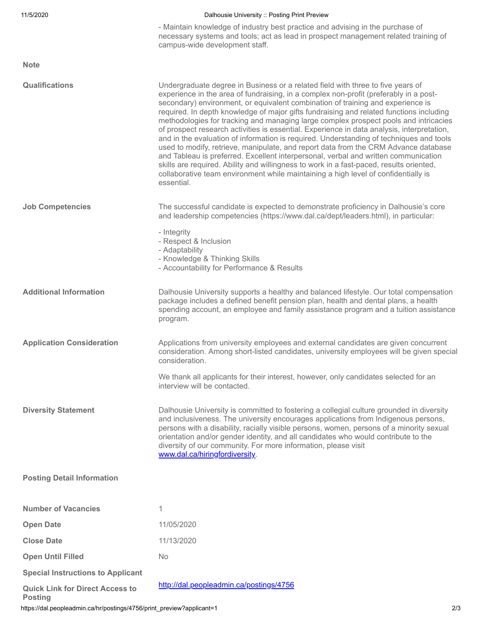| 11/5/2020                                                | Dalhousie University :: Posting Print Preview                                                                                                                                                                                                                                                                                                                                                                                                                                                                                                                                                                                                                                                                                                                                                                                                                                                                                                                                                                        |
|----------------------------------------------------------|----------------------------------------------------------------------------------------------------------------------------------------------------------------------------------------------------------------------------------------------------------------------------------------------------------------------------------------------------------------------------------------------------------------------------------------------------------------------------------------------------------------------------------------------------------------------------------------------------------------------------------------------------------------------------------------------------------------------------------------------------------------------------------------------------------------------------------------------------------------------------------------------------------------------------------------------------------------------------------------------------------------------|
|                                                          | - Maintain knowledge of industry best practice and advising in the purchase of<br>necessary systems and tools; act as lead in prospect management related training of<br>campus-wide development staff.                                                                                                                                                                                                                                                                                                                                                                                                                                                                                                                                                                                                                                                                                                                                                                                                              |
| <b>Note</b>                                              |                                                                                                                                                                                                                                                                                                                                                                                                                                                                                                                                                                                                                                                                                                                                                                                                                                                                                                                                                                                                                      |
| <b>Qualifications</b>                                    | Undergraduate degree in Business or a related field with three to five years of<br>experience in the area of fundraising, in a complex non-profit (preferably in a post-<br>secondary) environment, or equivalent combination of training and experience is<br>required. In depth knowledge of major gifts fundraising and related functions including<br>methodologies for tracking and managing large complex prospect pools and intricacies<br>of prospect research activities is essential. Experience in data analysis, interpretation,<br>and in the evaluation of information is required. Understanding of techniques and tools<br>used to modify, retrieve, manipulate, and report data from the CRM Advance database<br>and Tableau is preferred. Excellent interpersonal, verbal and written communication<br>skills are required. Ability and willingness to work in a fast-paced, results oriented,<br>collaborative team environment while maintaining a high level of confidentially is<br>essential. |
| <b>Job Competencies</b>                                  | The successful candidate is expected to demonstrate proficiency in Dalhousie's core<br>and leadership competencies (https://www.dal.ca/dept/leaders.html), in particular:<br>- Integrity<br>- Respect & Inclusion<br>- Adaptability<br>- Knowledge & Thinking Skills<br>- Accountability for Performance & Results                                                                                                                                                                                                                                                                                                                                                                                                                                                                                                                                                                                                                                                                                                   |
| <b>Additional Information</b>                            | Dalhousie University supports a healthy and balanced lifestyle. Our total compensation<br>package includes a defined benefit pension plan, health and dental plans, a health<br>spending account, an employee and family assistance program and a tuition assistance<br>program.                                                                                                                                                                                                                                                                                                                                                                                                                                                                                                                                                                                                                                                                                                                                     |
| <b>Application Consideration</b>                         | Applications from university employees and external candidates are given concurrent<br>consideration. Among short-listed candidates, university employees will be given special<br>consideration.                                                                                                                                                                                                                                                                                                                                                                                                                                                                                                                                                                                                                                                                                                                                                                                                                    |
|                                                          | We thank all applicants for their interest, however, only candidates selected for an<br>interview will be contacted                                                                                                                                                                                                                                                                                                                                                                                                                                                                                                                                                                                                                                                                                                                                                                                                                                                                                                  |
| <b>Diversity Statement</b>                               | Dalhousie University is committed to fostering a collegial culture grounded in diversity<br>and inclusiveness. The university encourages applications from Indigenous persons,<br>persons with a disability, racially visible persons, women, persons of a minority sexual<br>orientation and/or gender identity, and all candidates who would contribute to the<br>diversity of our community. For more information, please visit<br>www.dal.ca/hiringfordiversity.                                                                                                                                                                                                                                                                                                                                                                                                                                                                                                                                                 |
| <b>Posting Detail Information</b>                        |                                                                                                                                                                                                                                                                                                                                                                                                                                                                                                                                                                                                                                                                                                                                                                                                                                                                                                                                                                                                                      |
| <b>Number of Vacancies</b>                               | 1                                                                                                                                                                                                                                                                                                                                                                                                                                                                                                                                                                                                                                                                                                                                                                                                                                                                                                                                                                                                                    |
| <b>Open Date</b>                                         | 11/05/2020                                                                                                                                                                                                                                                                                                                                                                                                                                                                                                                                                                                                                                                                                                                                                                                                                                                                                                                                                                                                           |
| <b>Close Date</b>                                        | 11/13/2020                                                                                                                                                                                                                                                                                                                                                                                                                                                                                                                                                                                                                                                                                                                                                                                                                                                                                                                                                                                                           |
| <b>Open Until Filled</b>                                 | <b>No</b>                                                                                                                                                                                                                                                                                                                                                                                                                                                                                                                                                                                                                                                                                                                                                                                                                                                                                                                                                                                                            |
| <b>Special Instructions to Applicant</b>                 |                                                                                                                                                                                                                                                                                                                                                                                                                                                                                                                                                                                                                                                                                                                                                                                                                                                                                                                                                                                                                      |
| <b>Quick Link for Direct Access to</b><br><b>Posting</b> | http://dal.peopleadmin.ca/postings/4756                                                                                                                                                                                                                                                                                                                                                                                                                                                                                                                                                                                                                                                                                                                                                                                                                                                                                                                                                                              |

https://dal.peopleadmin.ca/hr/postings/4756/print\_preview?applicant=1 2/3